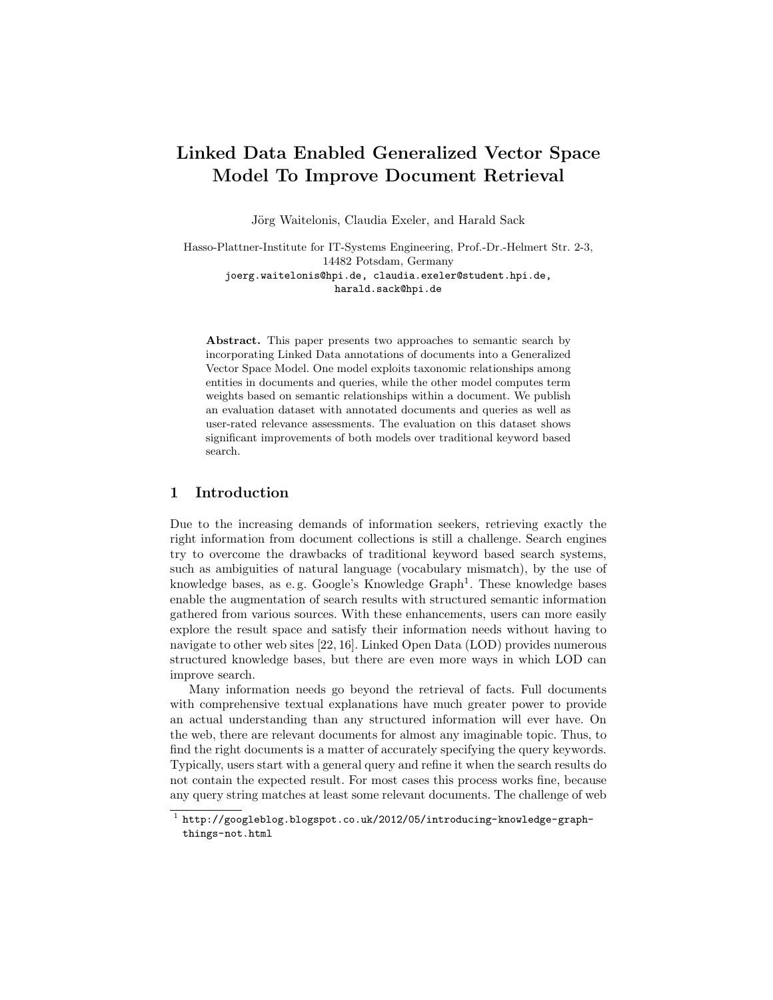# Linked Data Enabled Generalized Vector Space Model To Improve Document Retrieval

Jörg Waitelonis, Claudia Exeler, and Harald Sack

Hasso-Plattner-Institute for IT-Systems Engineering, Prof.-Dr.-Helmert Str. 2-3, 14482 Potsdam, Germany joerg.waitelonis@hpi.de, claudia.exeler@student.hpi.de, harald.sack@hpi.de

Abstract. This paper presents two approaches to semantic search by incorporating Linked Data annotations of documents into a Generalized Vector Space Model. One model exploits taxonomic relationships among entities in documents and queries, while the other model computes term weights based on semantic relationships within a document. We publish an evaluation dataset with annotated documents and queries as well as user-rated relevance assessments. The evaluation on this dataset shows significant improvements of both models over traditional keyword based search.

# 1 Introduction

Due to the increasing demands of information seekers, retrieving exactly the right information from document collections is still a challenge. Search engines try to overcome the drawbacks of traditional keyword based search systems, such as ambiguities of natural language (vocabulary mismatch), by the use of knowledge bases, as e.g. Google's Knowledge Graph<sup>1</sup>. These knowledge bases enable the augmentation of search results with structured semantic information gathered from various sources. With these enhancements, users can more easily explore the result space and satisfy their information needs without having to navigate to other web sites [22, 16]. Linked Open Data (LOD) provides numerous structured knowledge bases, but there are even more ways in which LOD can improve search.

Many information needs go beyond the retrieval of facts. Full documents with comprehensive textual explanations have much greater power to provide an actual understanding than any structured information will ever have. On the web, there are relevant documents for almost any imaginable topic. Thus, to find the right documents is a matter of accurately specifying the query keywords. Typically, users start with a general query and refine it when the search results do not contain the expected result. For most cases this process works fine, because any query string matches at least some relevant documents. The challenge of web

 $^{\rm 1}$  http://googleblog.blogspot.co.uk/2012/05/introducing-knowledge-graphthings-not.html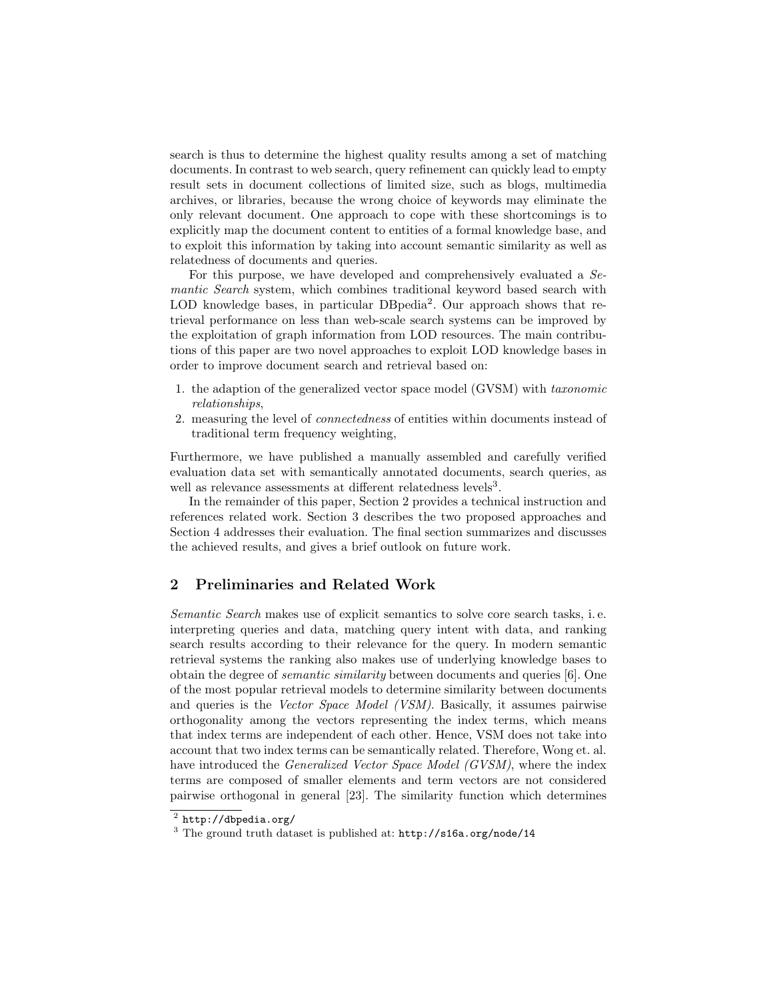search is thus to determine the highest quality results among a set of matching documents. In contrast to web search, query refinement can quickly lead to empty result sets in document collections of limited size, such as blogs, multimedia archives, or libraries, because the wrong choice of keywords may eliminate the only relevant document. One approach to cope with these shortcomings is to explicitly map the document content to entities of a formal knowledge base, and to exploit this information by taking into account semantic similarity as well as relatedness of documents and queries.

For this purpose, we have developed and comprehensively evaluated a Semantic Search system, which combines traditional keyword based search with LOD knowledge bases, in particular DBpedia<sup>2</sup>. Our approach shows that retrieval performance on less than web-scale search systems can be improved by the exploitation of graph information from LOD resources. The main contributions of this paper are two novel approaches to exploit LOD knowledge bases in order to improve document search and retrieval based on:

- 1. the adaption of the generalized vector space model (GVSM) with taxonomic relationships,
- 2. measuring the level of connectedness of entities within documents instead of traditional term frequency weighting,

Furthermore, we have published a manually assembled and carefully verified evaluation data set with semantically annotated documents, search queries, as well as relevance assessments at different relatedness levels<sup>3</sup>.

In the remainder of this paper, Section 2 provides a technical instruction and references related work. Section 3 describes the two proposed approaches and Section 4 addresses their evaluation. The final section summarizes and discusses the achieved results, and gives a brief outlook on future work.

# 2 Preliminaries and Related Work

Semantic Search makes use of explicit semantics to solve core search tasks, i. e. interpreting queries and data, matching query intent with data, and ranking search results according to their relevance for the query. In modern semantic retrieval systems the ranking also makes use of underlying knowledge bases to obtain the degree of semantic similarity between documents and queries [6]. One of the most popular retrieval models to determine similarity between documents and queries is the Vector Space Model (VSM). Basically, it assumes pairwise orthogonality among the vectors representing the index terms, which means that index terms are independent of each other. Hence, VSM does not take into account that two index terms can be semantically related. Therefore, Wong et. al. have introduced the *Generalized Vector Space Model (GVSM)*, where the index terms are composed of smaller elements and term vectors are not considered pairwise orthogonal in general [23]. The similarity function which determines

 $^2$  http://dbpedia.org/

<sup>3</sup> The ground truth dataset is published at: http://s16a.org/node/14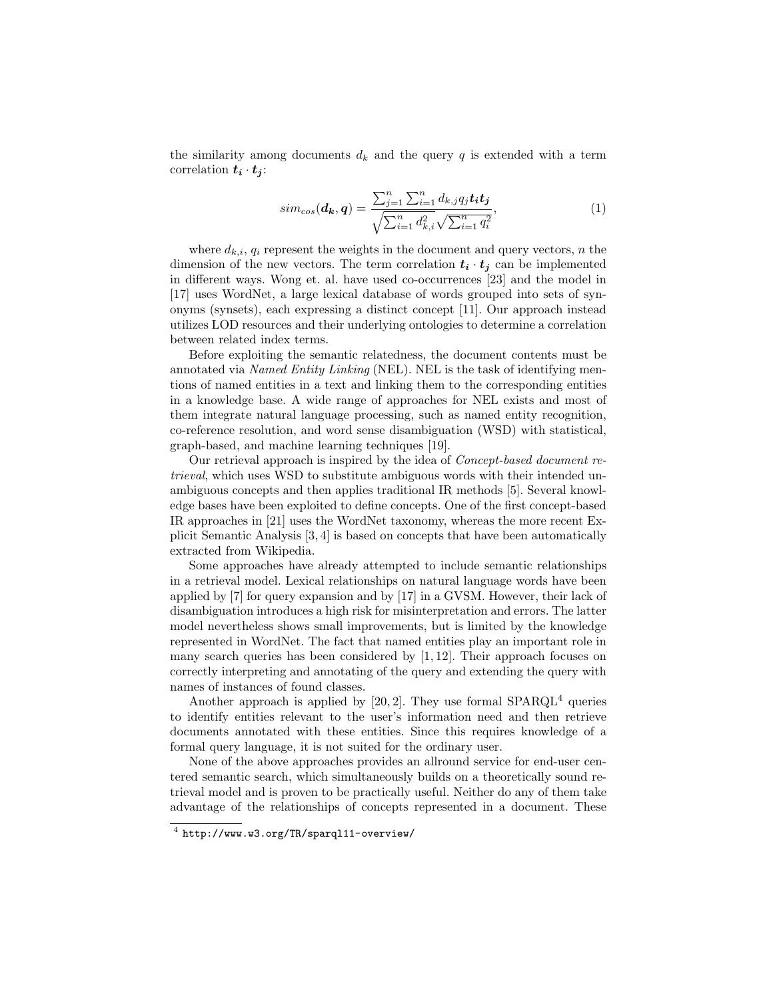the similarity among documents  $d_k$  and the query q is extended with a term correlation  $t_i \cdot t_j$ :

$$
sim_{cos}(\boldsymbol{d}_{k}, \boldsymbol{q}) = \frac{\sum_{j=1}^{n} \sum_{i=1}^{n} d_{k,j} q_{j} t_{i} t_{j}}{\sqrt{\sum_{i=1}^{n} d_{k,i}^{2}} \sqrt{\sum_{i=1}^{n} q_{i}^{2}}},
$$
\n(1)

where  $d_{k,i}$ ,  $q_i$  represent the weights in the document and query vectors, n the dimension of the new vectors. The term correlation  $t_i \cdot t_j$  can be implemented in different ways. Wong et. al. have used co-occurrences [23] and the model in [17] uses WordNet, a large lexical database of words grouped into sets of synonyms (synsets), each expressing a distinct concept [11]. Our approach instead utilizes LOD resources and their underlying ontologies to determine a correlation between related index terms.

Before exploiting the semantic relatedness, the document contents must be annotated via Named Entity Linking (NEL). NEL is the task of identifying mentions of named entities in a text and linking them to the corresponding entities in a knowledge base. A wide range of approaches for NEL exists and most of them integrate natural language processing, such as named entity recognition, co-reference resolution, and word sense disambiguation (WSD) with statistical, graph-based, and machine learning techniques [19].

Our retrieval approach is inspired by the idea of Concept-based document retrieval, which uses WSD to substitute ambiguous words with their intended unambiguous concepts and then applies traditional IR methods [5]. Several knowledge bases have been exploited to define concepts. One of the first concept-based IR approaches in [21] uses the WordNet taxonomy, whereas the more recent Explicit Semantic Analysis [3, 4] is based on concepts that have been automatically extracted from Wikipedia.

Some approaches have already attempted to include semantic relationships in a retrieval model. Lexical relationships on natural language words have been applied by [7] for query expansion and by [17] in a GVSM. However, their lack of disambiguation introduces a high risk for misinterpretation and errors. The latter model nevertheless shows small improvements, but is limited by the knowledge represented in WordNet. The fact that named entities play an important role in many search queries has been considered by  $[1, 12]$ . Their approach focuses on correctly interpreting and annotating of the query and extending the query with names of instances of found classes.

Another approach is applied by  $[20, 2]$ . They use formal SPARQL<sup>4</sup> queries to identify entities relevant to the user's information need and then retrieve documents annotated with these entities. Since this requires knowledge of a formal query language, it is not suited for the ordinary user.

None of the above approaches provides an allround service for end-user centered semantic search, which simultaneously builds on a theoretically sound retrieval model and is proven to be practically useful. Neither do any of them take advantage of the relationships of concepts represented in a document. These

 $^4$  http://www.w3.org/TR/sparql11-overview/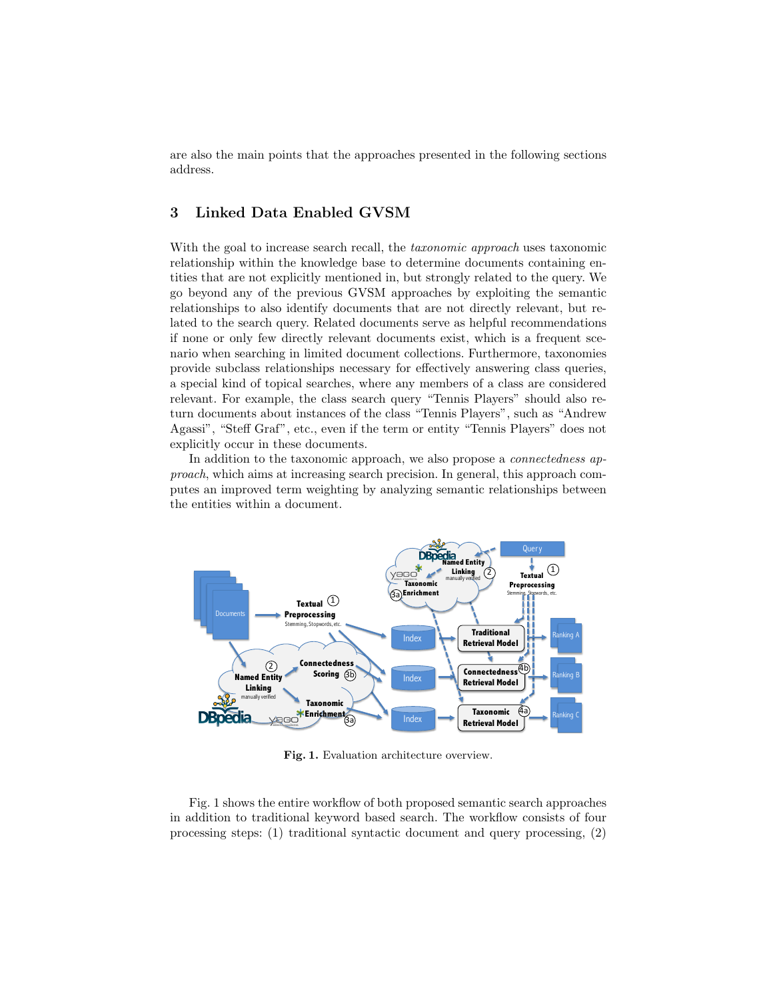are also the main points that the approaches presented in the following sections address.

## 3 Linked Data Enabled GVSM

With the goal to increase search recall, the *taxonomic approach* uses taxonomic relationship within the knowledge base to determine documents containing entities that are not explicitly mentioned in, but strongly related to the query. We go beyond any of the previous GVSM approaches by exploiting the semantic relationships to also identify documents that are not directly relevant, but related to the search query. Related documents serve as helpful recommendations if none or only few directly relevant documents exist, which is a frequent scenario when searching in limited document collections. Furthermore, taxonomies provide subclass relationships necessary for effectively answering class queries, a special kind of topical searches, where any members of a class are considered relevant. For example, the class search query "Tennis Players" should also return documents about instances of the class "Tennis Players", such as "Andrew Agassi", "Steff Graf", etc., even if the term or entity "Tennis Players" does not explicitly occur in these documents.

In addition to the taxonomic approach, we also propose a *connectedness ap*proach, which aims at increasing search precision. In general, this approach computes an improved term weighting by analyzing semantic relationships between the entities within a document.



Fig. 1. Evaluation architecture overview.

Fig. 1 shows the entire workflow of both proposed semantic search approaches in addition to traditional keyword based search. The workflow consists of four processing steps: (1) traditional syntactic document and query processing, (2)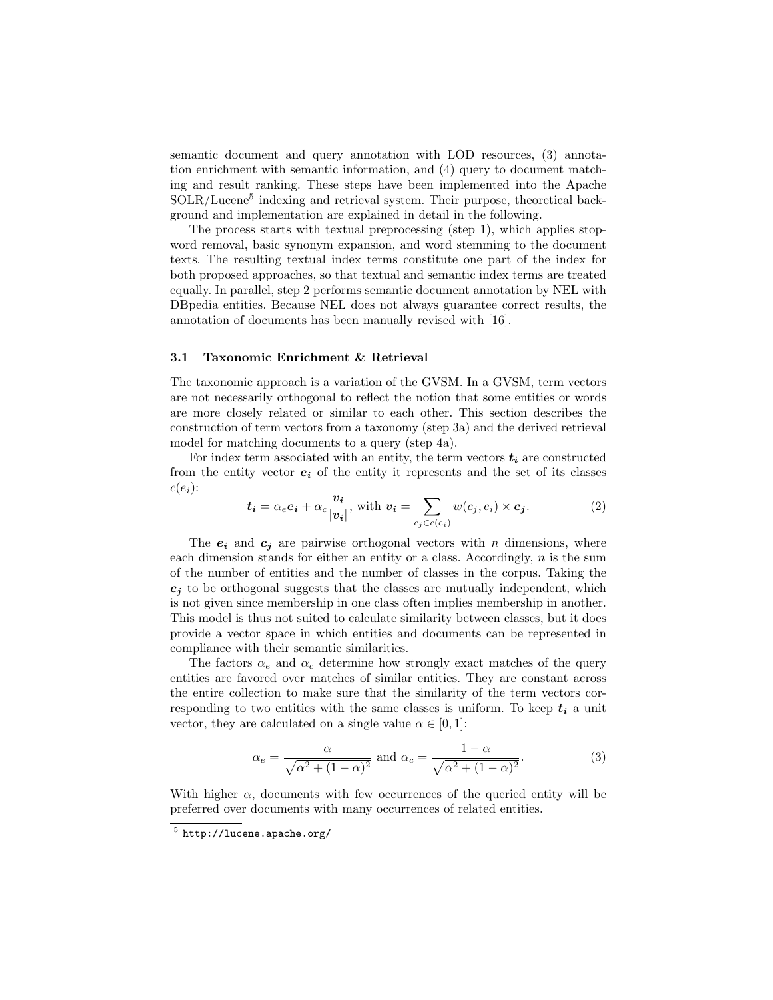semantic document and query annotation with LOD resources, (3) annotation enrichment with semantic information, and (4) query to document matching and result ranking. These steps have been implemented into the Apache SOLR/Lucene<sup>5</sup> indexing and retrieval system. Their purpose, theoretical background and implementation are explained in detail in the following.

The process starts with textual preprocessing (step 1), which applies stopword removal, basic synonym expansion, and word stemming to the document texts. The resulting textual index terms constitute one part of the index for both proposed approaches, so that textual and semantic index terms are treated equally. In parallel, step 2 performs semantic document annotation by NEL with DBpedia entities. Because NEL does not always guarantee correct results, the annotation of documents has been manually revised with [16].

### 3.1 Taxonomic Enrichment & Retrieval

The taxonomic approach is a variation of the GVSM. In a GVSM, term vectors are not necessarily orthogonal to reflect the notion that some entities or words are more closely related or similar to each other. This section describes the construction of term vectors from a taxonomy (step 3a) and the derived retrieval model for matching documents to a query (step 4a).

For index term associated with an entity, the term vectors  $t_i$  are constructed from the entity vector  $e_i$  of the entity it represents and the set of its classes  $c(e_i)$ :

$$
\boldsymbol{t_i} = \alpha_e \boldsymbol{e_i} + \alpha_c \frac{\boldsymbol{v_i}}{|\boldsymbol{v_i}|}, \text{ with } \boldsymbol{v_i} = \sum_{c_j \in c(e_i)} w(c_j, e_i) \times \boldsymbol{c_j}. \tag{2}
$$

The  $e_i$  and  $c_j$  are pairwise orthogonal vectors with n dimensions, where each dimension stands for either an entity or a class. Accordingly,  $n$  is the sum of the number of entities and the number of classes in the corpus. Taking the  $c_i$  to be orthogonal suggests that the classes are mutually independent, which is not given since membership in one class often implies membership in another. This model is thus not suited to calculate similarity between classes, but it does provide a vector space in which entities and documents can be represented in compliance with their semantic similarities.

The factors  $\alpha_e$  and  $\alpha_c$  determine how strongly exact matches of the query entities are favored over matches of similar entities. They are constant across the entire collection to make sure that the similarity of the term vectors corresponding to two entities with the same classes is uniform. To keep  $t_i$  a unit vector, they are calculated on a single value  $\alpha \in [0, 1]$ :

$$
\alpha_e = \frac{\alpha}{\sqrt{\alpha^2 + (1 - \alpha)^2}} \text{ and } \alpha_c = \frac{1 - \alpha}{\sqrt{\alpha^2 + (1 - \alpha)^2}}.
$$
 (3)

With higher  $\alpha$ , documents with few occurrences of the queried entity will be preferred over documents with many occurrences of related entities.

 $^5$  http://lucene.apache.org/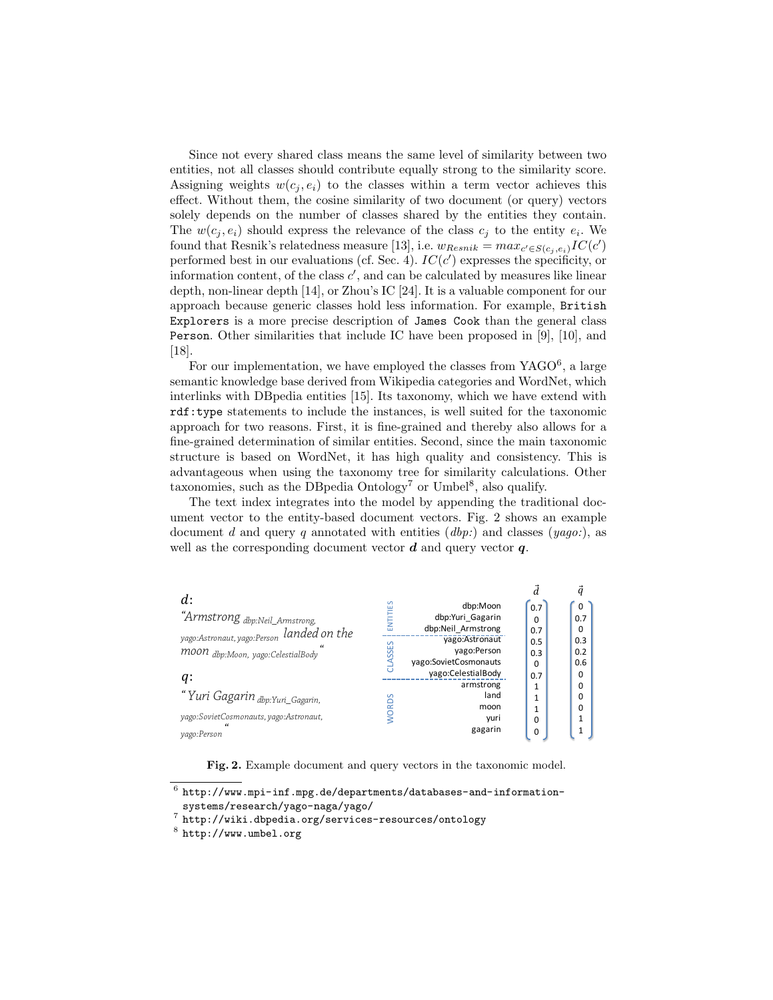Since not every shared class means the same level of similarity between two entities, not all classes should contribute equally strong to the similarity score. Assigning weights  $w(c_i, e_i)$  to the classes within a term vector achieves this effect. Without them, the cosine similarity of two document (or query) vectors solely depends on the number of classes shared by the entities they contain. The  $w(c_j, e_i)$  should express the relevance of the class  $c_j$  to the entity  $e_i$ . We found that Resnik's relatedness measure [13], i.e.  $w_{Resnik} = max_{c' \in S(c_j, e_i)} IC(c')$ performed best in our evaluations (cf. Sec. 4).  $IC(c')$  expresses the specificity, or information content, of the class  $c'$ , and can be calculated by measures like linear depth, non-linear depth [14], or Zhou's IC [24]. It is a valuable component for our approach because generic classes hold less information. For example, British Explorers is a more precise description of James Cook than the general class Person. Other similarities that include IC have been proposed in [9], [10], and [18].

For our implementation, we have employed the classes from  $YAGO<sup>6</sup>$ , a large semantic knowledge base derived from Wikipedia categories and WordNet, which interlinks with DBpedia entities [15]. Its taxonomy, which we have extend with rdf:type statements to include the instances, is well suited for the taxonomic approach for two reasons. First, it is fine-grained and thereby also allows for a fine-grained determination of similar entities. Second, since the main taxonomic structure is based on WordNet, it has high quality and consistency. This is advantageous when using the taxonomy tree for similarity calculations. Other taxonomies, such as the DB pedia  $Ontology<sup>7</sup>$  or Umbel<sup>8</sup>, also qualify.

The text index integrates into the model by appending the traditional document vector to the entity-based document vectors. Fig. 2 shows an example document d and query q annotated with entities  $(dbp)$ ; and classes  $(yaqo)$ ; as well as the corresponding document vector  $d$  and query vector  $q$ .

| d:                                                   | $\sim$       | dbp:Moon              | 0.7          | 0   |
|------------------------------------------------------|--------------|-----------------------|--------------|-----|
| "Armstrong <sub>dbp:Neil_Armstrong,</sub>            | ENTITIE      | dbp:Yuri Gagarin      | <sup>0</sup> | 0.7 |
|                                                      |              | dbp:Neil Armstrong    | 0.7          | o   |
| yago:Astronaut, yago:Person landed on the            |              | vago:Astronaut        | 0.5          | 0.3 |
| moon dbp:Moon, yago:CelestialBody                    | ASSES        | vago:Person           | 0.3          | 0.2 |
|                                                      |              | yago:SovietCosmonauts | 0            | 0.6 |
| q:                                                   |              | vago:CelestialBody    | 0.7          | 0   |
|                                                      |              | armstrong             |              | 0   |
| "Yuri Gagarin <sub>dbp:Yuri_Gagarin,</sub>           |              | land                  |              | 0   |
|                                                      | <b>NORDS</b> | moon                  |              | 0   |
| yago:SovietCosmonauts, yago:Astronaut,<br>$\epsilon$ |              | yuri                  | O            |     |
| yago:Person                                          |              | gagarin               | 0            |     |

Fig. 2. Example document and query vectors in the taxonomic model.

 $^6$  http://www.mpi-inf.mpg.de/departments/databases-and-informationsystems/research/yago-naga/yago/

 $7$  http://wiki.dbpedia.org/services-resources/ontology

<sup>8</sup> http://www.umbel.org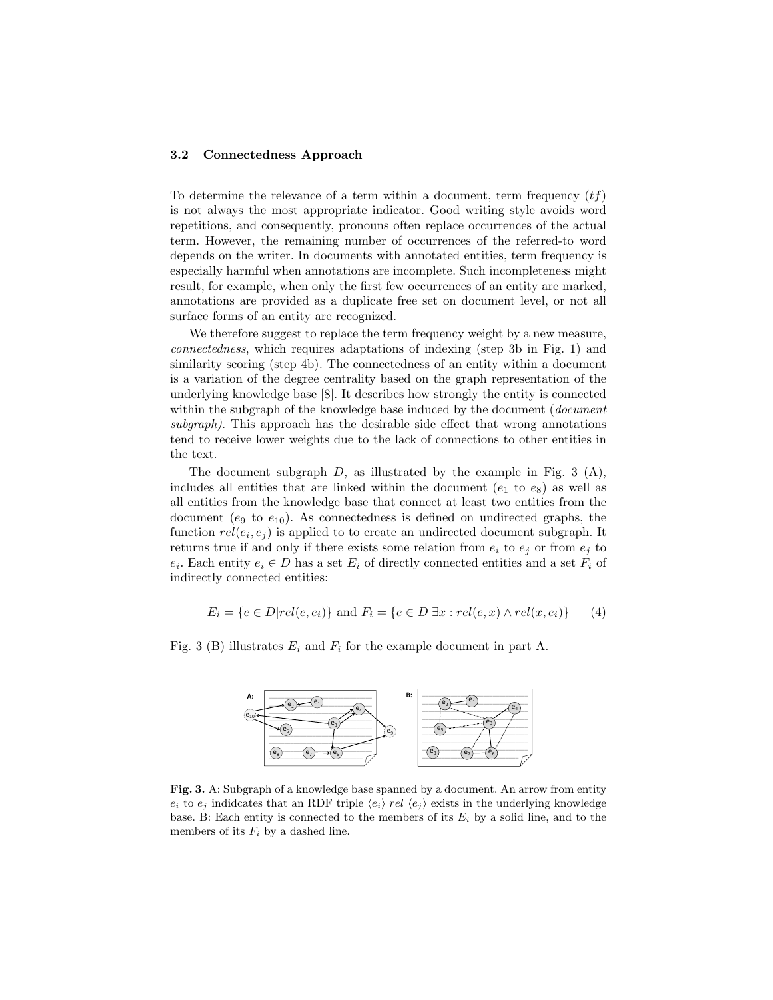#### 3.2 Connectedness Approach

To determine the relevance of a term within a document, term frequency  $(tf)$ is not always the most appropriate indicator. Good writing style avoids word repetitions, and consequently, pronouns often replace occurrences of the actual term. However, the remaining number of occurrences of the referred-to word depends on the writer. In documents with annotated entities, term frequency is especially harmful when annotations are incomplete. Such incompleteness might result, for example, when only the first few occurrences of an entity are marked, annotations are provided as a duplicate free set on document level, or not all surface forms of an entity are recognized.

We therefore suggest to replace the term frequency weight by a new measure, connectedness, which requires adaptations of indexing (step 3b in Fig. 1) and similarity scoring (step 4b). The connectedness of an entity within a document is a variation of the degree centrality based on the graph representation of the underlying knowledge base [8]. It describes how strongly the entity is connected within the subgraph of the knowledge base induced by the document (*document*) subgraph). This approach has the desirable side effect that wrong annotations tend to receive lower weights due to the lack of connections to other entities in the text.

The document subgraph  $D$ , as illustrated by the example in Fig. 3 (A), includes all entities that are linked within the document  $(e_1 \text{ to } e_8)$  as well as all entities from the knowledge base that connect at least two entities from the document ( $e_9$  to  $e_{10}$ ). As connectedness is defined on undirected graphs, the function  $rel(e_i, e_j)$  is applied to to create an undirected document subgraph. It returns true if and only if there exists some relation from  $e_i$  to  $e_j$  or from  $e_j$  to  $e_i$ . Each entity  $e_i \in D$  has a set  $E_i$  of directly connected entities and a set  $F_i$  of indirectly connected entities:

$$
E_i = \{e \in D | rel(e, e_i) \} \text{ and } F_i = \{e \in D | \exists x : rel(e, x) \land rel(x, e_i) \} \qquad (4)
$$

Fig. 3 (B) illustrates  $E_i$  and  $F_i$  for the example document in part A.



Fig. 3. A: Subgraph of a knowledge base spanned by a document. An arrow from entity  $e_i$  to  $e_j$  indideates that an RDF triple  $\langle e_i \rangle$  rel  $\langle e_j \rangle$  exists in the underlying knowledge base. B: Each entity is connected to the members of its  $E_i$  by a solid line, and to the members of its  $F_i$  by a dashed line.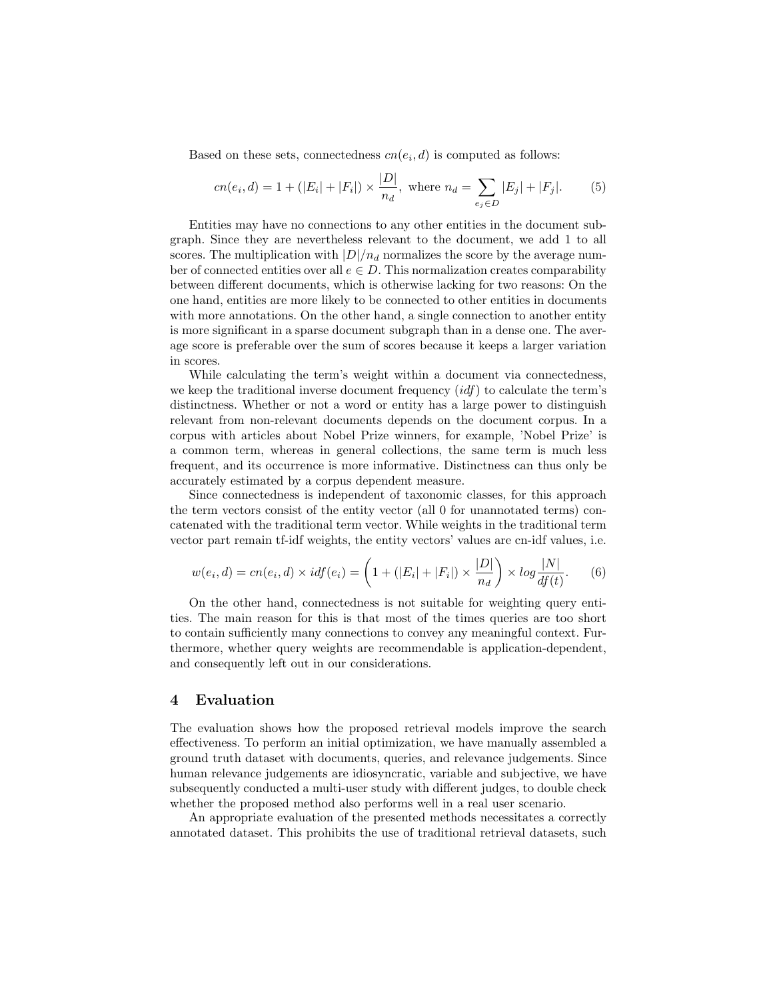Based on these sets, connectedness  $cn(e_i, d)$  is computed as follows:

$$
cn(e_i, d) = 1 + (|E_i| + |F_i|) \times \frac{|D|}{n_d}, \text{ where } n_d = \sum_{e_j \in D} |E_j| + |F_j|.
$$
 (5)

Entities may have no connections to any other entities in the document subgraph. Since they are nevertheless relevant to the document, we add 1 to all scores. The multiplication with  $|D|/n_d$  normalizes the score by the average number of connected entities over all  $e \in D$ . This normalization creates comparability between different documents, which is otherwise lacking for two reasons: On the one hand, entities are more likely to be connected to other entities in documents with more annotations. On the other hand, a single connection to another entity is more significant in a sparse document subgraph than in a dense one. The average score is preferable over the sum of scores because it keeps a larger variation in scores.

While calculating the term's weight within a document via connectedness, we keep the traditional inverse document frequency  $(idf)$  to calculate the term's distinctness. Whether or not a word or entity has a large power to distinguish relevant from non-relevant documents depends on the document corpus. In a corpus with articles about Nobel Prize winners, for example, 'Nobel Prize' is a common term, whereas in general collections, the same term is much less frequent, and its occurrence is more informative. Distinctness can thus only be accurately estimated by a corpus dependent measure.

Since connectedness is independent of taxonomic classes, for this approach the term vectors consist of the entity vector (all 0 for unannotated terms) concatenated with the traditional term vector. While weights in the traditional term vector part remain tf-idf weights, the entity vectors' values are cn-idf values, i.e.

$$
w(e_i, d) = cn(e_i, d) \times idf(e_i) = \left(1 + (|E_i| + |F_i|) \times \frac{|D|}{n_d}\right) \times \log \frac{|N|}{df(t)}.
$$
 (6)

On the other hand, connectedness is not suitable for weighting query entities. The main reason for this is that most of the times queries are too short to contain sufficiently many connections to convey any meaningful context. Furthermore, whether query weights are recommendable is application-dependent, and consequently left out in our considerations.

#### 4 Evaluation

The evaluation shows how the proposed retrieval models improve the search effectiveness. To perform an initial optimization, we have manually assembled a ground truth dataset with documents, queries, and relevance judgements. Since human relevance judgements are idiosyncratic, variable and subjective, we have subsequently conducted a multi-user study with different judges, to double check whether the proposed method also performs well in a real user scenario.

An appropriate evaluation of the presented methods necessitates a correctly annotated dataset. This prohibits the use of traditional retrieval datasets, such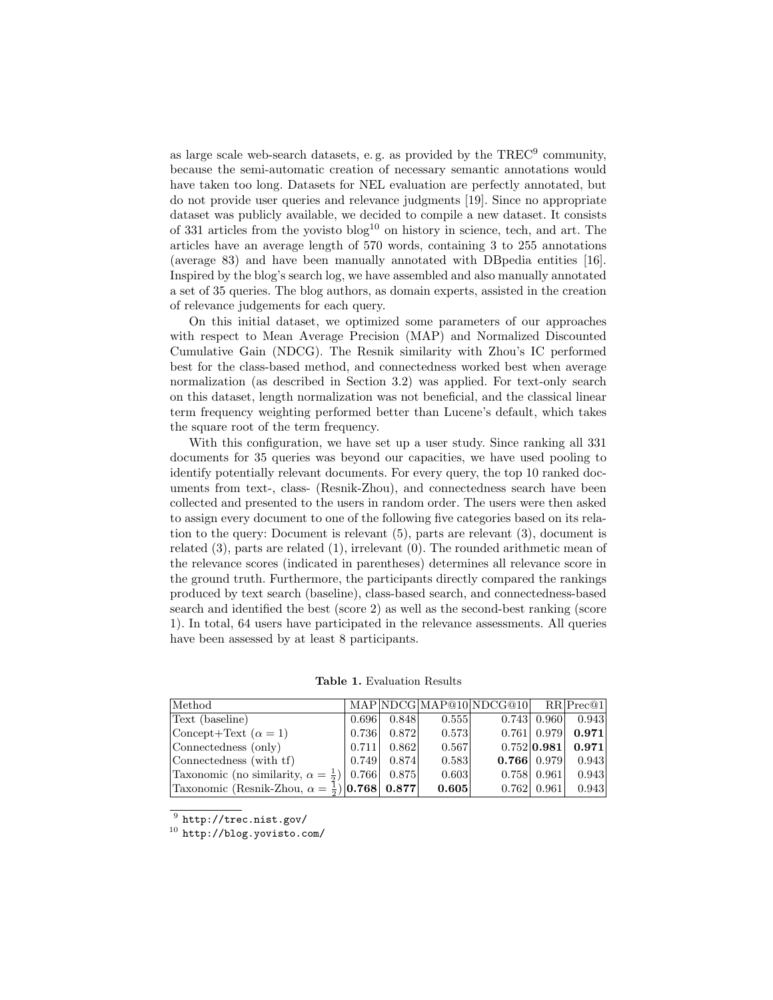as large scale web-search datasets, e.g. as provided by the TREC<sup>9</sup> community, because the semi-automatic creation of necessary semantic annotations would have taken too long. Datasets for NEL evaluation are perfectly annotated, but do not provide user queries and relevance judgments [19]. Since no appropriate dataset was publicly available, we decided to compile a new dataset. It consists of 331 articles from the yovisto  $b \log^{10}$  on history in science, tech, and art. The articles have an average length of 570 words, containing 3 to 255 annotations (average 83) and have been manually annotated with DBpedia entities [16]. Inspired by the blog's search log, we have assembled and also manually annotated a set of 35 queries. The blog authors, as domain experts, assisted in the creation of relevance judgements for each query.

On this initial dataset, we optimized some parameters of our approaches with respect to Mean Average Precision (MAP) and Normalized Discounted Cumulative Gain (NDCG). The Resnik similarity with Zhou's IC performed best for the class-based method, and connectedness worked best when average normalization (as described in Section 3.2) was applied. For text-only search on this dataset, length normalization was not beneficial, and the classical linear term frequency weighting performed better than Lucene's default, which takes the square root of the term frequency.

With this configuration, we have set up a user study. Since ranking all 331 documents for 35 queries was beyond our capacities, we have used pooling to identify potentially relevant documents. For every query, the top 10 ranked documents from text-, class- (Resnik-Zhou), and connectedness search have been collected and presented to the users in random order. The users were then asked to assign every document to one of the following five categories based on its relation to the query: Document is relevant (5), parts are relevant (3), document is related (3), parts are related (1), irrelevant (0). The rounded arithmetic mean of the relevance scores (indicated in parentheses) determines all relevance score in the ground truth. Furthermore, the participants directly compared the rankings produced by text search (baseline), class-based search, and connectedness-based search and identified the best (score 2) as well as the second-best ranking (score 1). In total, 64 users have participated in the relevance assessments. All queries have been assessed by at least 8 participants.

Table 1. Evaluation Results

| Method                                                                        |                         |       | MAP NDCG MAP@10 NDCG@10 RR Prec@1 |                         |                               |
|-------------------------------------------------------------------------------|-------------------------|-------|-----------------------------------|-------------------------|-------------------------------|
| Text (baseline)                                                               | $0.696$ 0.848           | 0.555 |                                   |                         | $0.743 \mid 0.960 \mid 0.943$ |
| Concept+Text $(\alpha = 1)$                                                   | $0.736$ 0.872           | 0.573 |                                   |                         | 0.761 0.979 0.971             |
| Connectedness (only)                                                          | $0.711 \mid 0.862 \mid$ | 0.567 |                                   |                         | $0.752 0.981 $ 0.971          |
| Connectedness (with tf)                                                       | $0.749 \mid 0.874 \mid$ | 0.583 |                                   |                         | <b>0.766</b> 0.979 0.943      |
| Taxonomic (no similarity, $\alpha = \frac{1}{2}$ )   0.766   0.875            |                         | 0.603 |                                   | $0.758 \mid 0.961 \mid$ | 0.943                         |
| Taxonomic (Resnik-Zhou, $\alpha = \frac{1}{2}$ ) <b>[0.768</b> ] <b>0.877</b> |                         | 0.605 |                                   | 0.762   0.961           | 0.943                         |

 $^9$  http://trec.nist.gov/

<sup>10</sup> http://blog.yovisto.com/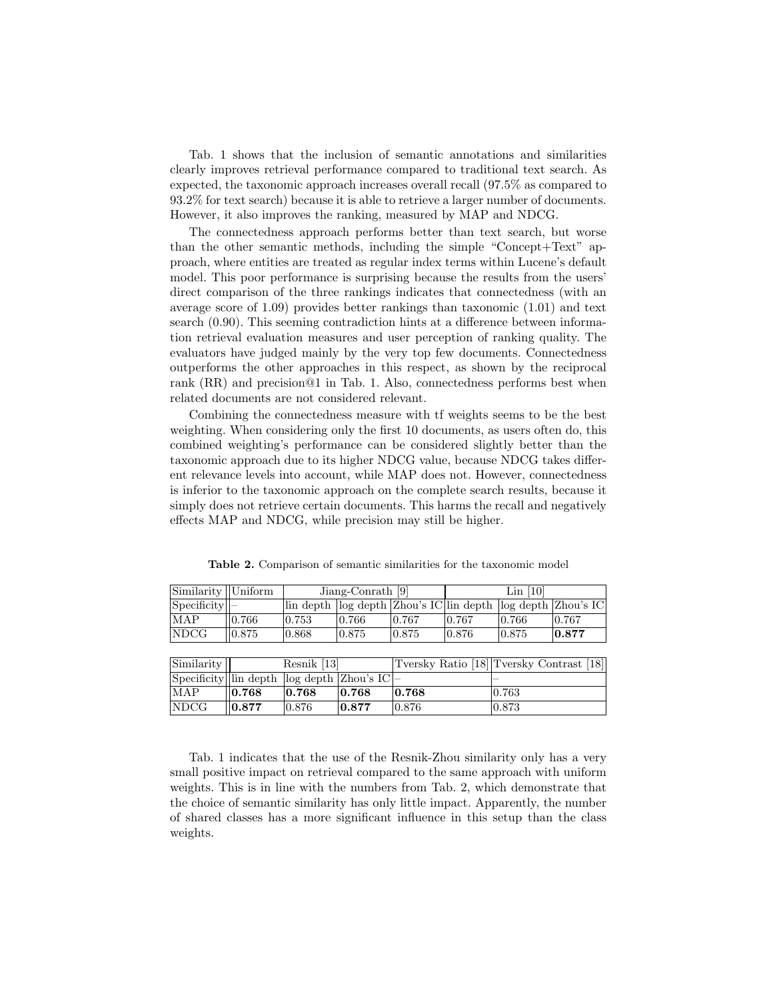Tab. 1 shows that the inclusion of semantic annotations and similarities clearly improves retrieval performance compared to traditional text search. As expected, the taxonomic approach increases overall recall (97.5% as compared to 93.2% for text search) because it is able to retrieve a larger number of documents. However, it also improves the ranking, measured by MAP and NDCG.

The connectedness approach performs better than text search, but worse than the other semantic methods, including the simple "Concept+Text" approach, where entities are treated as regular index terms within Lucene's default model. This poor performance is surprising because the results from the users' direct comparison of the three rankings indicates that connectedness (with an average score of 1.09) provides better rankings than taxonomic (1.01) and text search (0.90). This seeming contradiction hints at a difference between information retrieval evaluation measures and user perception of ranking quality. The evaluators have judged mainly by the very top few documents. Connectedness outperforms the other approaches in this respect, as shown by the reciprocal rank (RR) and precision@1 in Tab. 1. Also, connectedness performs best when related documents are not considered relevant.

Combining the connectedness measure with tf weights seems to be the best weighting. When considering only the first 10 documents, as users often do, this combined weighting's performance can be considered slightly better than the taxonomic approach due to its higher NDCG value, because NDCG takes different relevance levels into account, while MAP does not. However, connectedness is inferior to the taxonomic approach on the complete search results, because it simply does not retrieve certain documents. This harms the recall and negatively effects MAP and NDCG, while precision may still be higher.

| $\lim$ ilarity $\lim$                   |       | Jiang-Conrath $[9]$ |       | $Lin$ [10] |       |       |                                                                 |
|-----------------------------------------|-------|---------------------|-------|------------|-------|-------|-----------------------------------------------------------------|
| Specificity                             |       |                     |       |            |       |       | lin depth  log depth  Zhou's IC lin depth  log depth  Zhou's IC |
| MAP                                     | 0.766 | 0.753               | 0.766 | 0.767      | 0.767 | 0.766 | 0.767                                                           |
| NDCG                                    | 0.875 | 0.868               | 0.875 | 0.875      | 0.876 | 0.875 | 0.877                                                           |
|                                         |       |                     |       |            |       |       |                                                                 |
| $\left \text{Similarity}\right \right $ |       | Resnik [13]         |       |            |       |       | Tversky Ratio [18] Tversky Contrast [18]                        |

Table 2. Comparison of semantic similarities for the taxonomic model

Specificity lin depth log depth Zhou's IC MAP 0.768 0.768 0.768 0.768 0.763 NDCG  $\parallel$  0.877  $\parallel$  0.876  $\parallel$  0.877  $\parallel$  0.876  $\parallel$  0.873

Tab. 1 indicates that the use of the Resnik-Zhou similarity only has a very small positive impact on retrieval compared to the same approach with uniform weights. This is in line with the numbers from Tab. 2, which demonstrate that the choice of semantic similarity has only little impact. Apparently, the number of shared classes has a more significant influence in this setup than the class weights.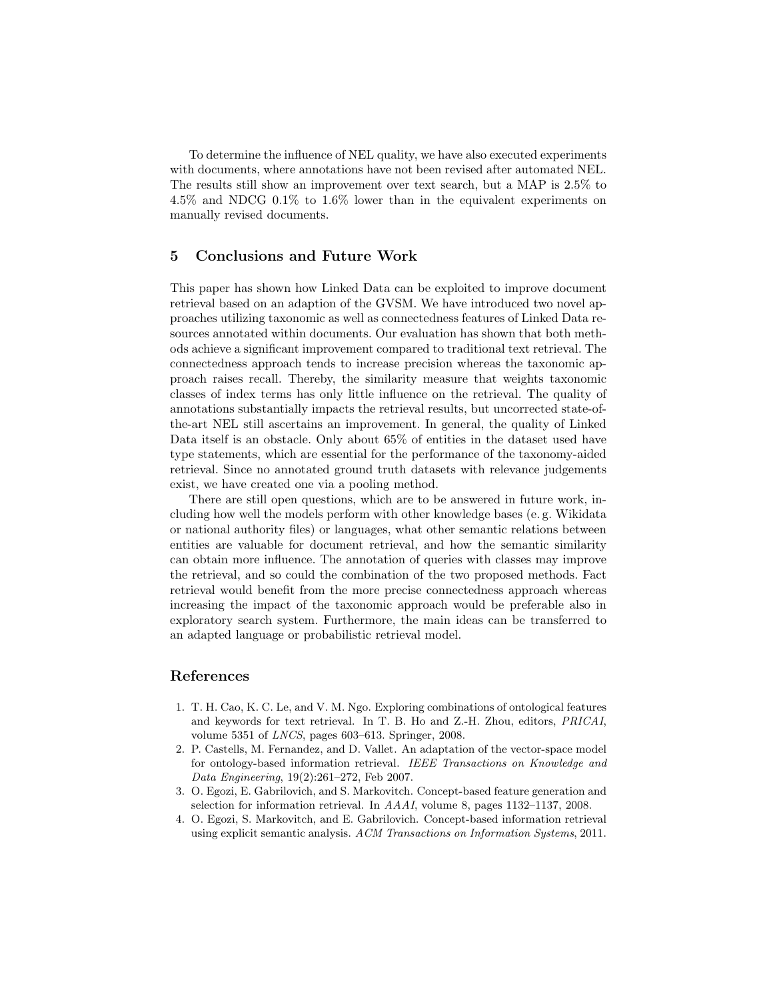To determine the influence of NEL quality, we have also executed experiments with documents, where annotations have not been revised after automated NEL. The results still show an improvement over text search, but a MAP is 2.5% to 4.5% and NDCG 0.1% to 1.6% lower than in the equivalent experiments on manually revised documents.

#### 5 Conclusions and Future Work

This paper has shown how Linked Data can be exploited to improve document retrieval based on an adaption of the GVSM. We have introduced two novel approaches utilizing taxonomic as well as connectedness features of Linked Data resources annotated within documents. Our evaluation has shown that both methods achieve a significant improvement compared to traditional text retrieval. The connectedness approach tends to increase precision whereas the taxonomic approach raises recall. Thereby, the similarity measure that weights taxonomic classes of index terms has only little influence on the retrieval. The quality of annotations substantially impacts the retrieval results, but uncorrected state-ofthe-art NEL still ascertains an improvement. In general, the quality of Linked Data itself is an obstacle. Only about 65% of entities in the dataset used have type statements, which are essential for the performance of the taxonomy-aided retrieval. Since no annotated ground truth datasets with relevance judgements exist, we have created one via a pooling method.

There are still open questions, which are to be answered in future work, including how well the models perform with other knowledge bases (e. g. Wikidata or national authority files) or languages, what other semantic relations between entities are valuable for document retrieval, and how the semantic similarity can obtain more influence. The annotation of queries with classes may improve the retrieval, and so could the combination of the two proposed methods. Fact retrieval would benefit from the more precise connectedness approach whereas increasing the impact of the taxonomic approach would be preferable also in exploratory search system. Furthermore, the main ideas can be transferred to an adapted language or probabilistic retrieval model.

# References

- 1. T. H. Cao, K. C. Le, and V. M. Ngo. Exploring combinations of ontological features and keywords for text retrieval. In T. B. Ho and Z.-H. Zhou, editors, PRICAI, volume 5351 of LNCS, pages 603–613. Springer, 2008.
- 2. P. Castells, M. Fernandez, and D. Vallet. An adaptation of the vector-space model for ontology-based information retrieval. IEEE Transactions on Knowledge and Data Engineering, 19(2):261–272, Feb 2007.
- 3. O. Egozi, E. Gabrilovich, and S. Markovitch. Concept-based feature generation and selection for information retrieval. In AAAI, volume 8, pages 1132–1137, 2008.
- 4. O. Egozi, S. Markovitch, and E. Gabrilovich. Concept-based information retrieval using explicit semantic analysis. ACM Transactions on Information Systems, 2011.